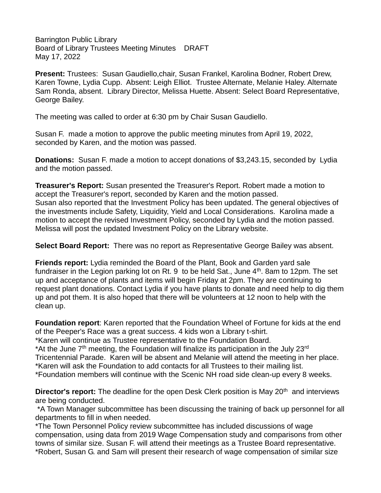Barrington Public Library Board of Library Trustees Meeting Minutes DRAFT May 17, 2022

**Present:** Trustees: Susan Gaudiello,chair, Susan Frankel, Karolina Bodner, Robert Drew, Karen Towne, Lydia Cupp. Absent: Leigh Elliot. Trustee Alternate, Melanie Haley. Alternate Sam Ronda, absent. Library Director, Melissa Huette. Absent: Select Board Representative, George Bailey.

The meeting was called to order at 6:30 pm by Chair Susan Gaudiello.

Susan F. made a motion to approve the public meeting minutes from April 19, 2022, seconded by Karen, and the motion was passed.

**Donations:** Susan F. made a motion to accept donations of \$3,243.15, seconded by Lydia and the motion passed.

**Treasurer's Report:** Susan presented the Treasurer's Report. Robert made a motion to accept the Treasurer's report, seconded by Karen and the motion passed. Susan also reported that the Investment Policy has been updated. The general objectives of the investments include Safety, Liquidity, Yield and Local Considerations. Karolina made a motion to accept the revised Investment Policy, seconded by Lydia and the motion passed. Melissa will post the updated Investment Policy on the Library website.

**Select Board Report:** There was no report as Representative George Bailey was absent.

**Friends report:** Lydia reminded the Board of the Plant, Book and Garden yard sale fundraiser in the Legion parking lot on Rt. 9 to be held Sat., June  $4<sup>th</sup>$ . 8am to 12pm. The set up and acceptance of plants and items will begin Friday at 2pm. They are continuing to request plant donations. Contact Lydia if you have plants to donate and need help to dig them up and pot them. It is also hoped that there will be volunteers at 12 noon to help with the clean up.

**Foundation report**: Karen reported that the Foundation Wheel of Fortune for kids at the end of the Peeper's Race was a great success. 4 kids won a Library t-shirt.

\*Karen will continue as Trustee representative to the Foundation Board.

\*At the June  $7<sup>th</sup>$  meeting, the Foundation will finalize its participation in the July 23 $rd$ Tricentennial Parade. Karen will be absent and Melanie will attend the meeting in her place. \*Karen will ask the Foundation to add contacts for all Trustees to their mailing list.

\*Foundation members will continue with the Scenic NH road side clean-up every 8 weeks.

Director's report: The deadline for the open Desk Clerk position is May 20<sup>th</sup> and interviews are being conducted.

\*A Town Manager subcommittee has been discussing the training of back up personnel for all departments to fill in when needed.

\*The Town Personnel Policy review subcommittee has included discussions of wage compensation, using data from 2019 Wage Compensation study and comparisons from other towns of similar size. Susan F. will attend their meetings as a Trustee Board representative. \*Robert, Susan G. and Sam will present their research of wage compensation of similar size